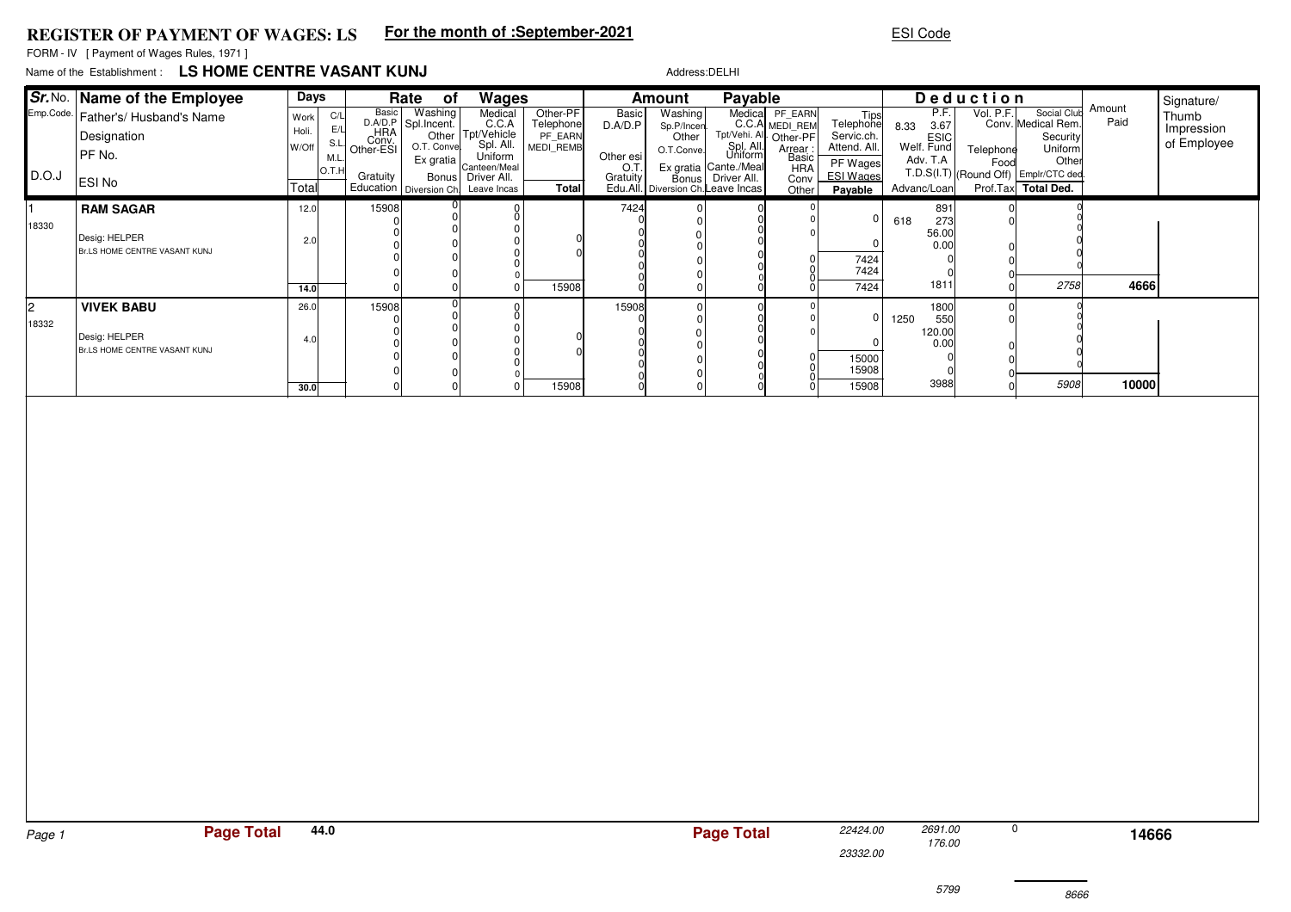## **REGISTER OF PAYMENT OF WAGES: LS**

## **For the month of :September-2021**

## ESI Code

FORM - IV [ Payment of Wages Rules, 1971 ]

## Name of the Establishment :**LS HOME CENTRE VASANT KUNJ**

Address:DELHI

|       | Sr. No. Name of the Employee                   | Days  |            |                                  | Rate<br>of                     | Wages                               |                       |                         | Amount                             | Payable                                    |                           |                          |                                       | Deduction         |                                      |                | Signature/                |
|-------|------------------------------------------------|-------|------------|----------------------------------|--------------------------------|-------------------------------------|-----------------------|-------------------------|------------------------------------|--------------------------------------------|---------------------------|--------------------------|---------------------------------------|-------------------|--------------------------------------|----------------|---------------------------|
|       | Emp.Code.   Father's/ Husband's Name           | Work  | C/L        | Basic                            | Washing<br>D.A/D.P Spl.Incent. | Medical<br>C.C.A                    | Other-PF<br>Telephone | <b>Basic</b><br>D.A/D.P | Washing<br>Sp.P/Incen.             | Medical                                    | PF EARN<br>C.C.A MEDI_REM | Tips<br>Telephone        | P.F.<br>3.67<br>8.33                  | Vol. P.F.         | Social Club<br>Conv. Medical Rem.    | Amount<br>Paid | Thumb                     |
|       | Designation                                    | Holi. | E/L<br>S.L | <b>HRA</b><br>Conv.<br>Other-ESI | Other                          | Tpt/Vehicle<br>Spl. All.            | PF EARN               |                         | Other                              | Tpt/Vehi. All. Other-PF                    |                           | Servic.ch.               | [SIC]<br> Welf. Fund                  |                   | Security                             |                | Impression<br>of Employee |
|       | PF No.                                         | W/Off | M.l        |                                  | O.T. Conve<br>$Ex$ gratia      | Uniform                             | MEDI REMB             | Other esi               | O.T.Conve.                         | Spl. All.<br>Uniform                       | Arrear<br>Basic           | Attend. All.<br>PF Wages | Adv. T.A                              | Telephone<br>Food | Uniform<br>Other                     |                |                           |
| D.O.J | <b>ESINo</b>                                   |       | O.T.       | Gratuity                         |                                | Canteen/Meal<br>Bonus Driver All.   |                       | O.<br>Gratuity          |                                    | Ex gratia Cante./Meal<br>Bonus Driver All. | <b>HRA</b><br>Conv        | <b>ESI Wages</b>         |                                       |                   | T.D.S(I.T) (Round Off) Emplr/CTC ded |                |                           |
|       |                                                | Total |            |                                  |                                | Education Diversion Ch. Leave Incas | <b>Total</b>          |                         | Edu.All. Diversion Ch. Leave Incas |                                            | Other                     | Payable                  | Advanc/Loan                           |                   | Prof.Tax Total Ded.                  |                |                           |
|       | <b>RAM SAGAR</b>                               | 12.0  |            | 15908                            |                                |                                     |                       | 7424                    |                                    |                                            |                           |                          | 891                                   |                   |                                      |                |                           |
| 18330 | Desig: HELPER<br>Br.LS HOME CENTRE VASANT KUNJ | 2.0   |            |                                  |                                |                                     |                       |                         |                                    |                                            |                           | 7424<br>7424             | 618<br>273<br>56.00<br>0.00           |                   |                                      |                |                           |
|       |                                                | 14.0  |            |                                  |                                |                                     | 15908                 |                         |                                    |                                            |                           | 7424                     | 1811                                  |                   | 2758                                 | 4666           |                           |
| 12    | <b>VIVEK BABU</b>                              | 26.0  |            | 15908                            |                                |                                     |                       | 15908                   |                                    |                                            |                           |                          | 1800                                  |                   |                                      |                |                           |
| 18332 | Desig: HELPER<br>Br.LS HOME CENTRE VASANT KUNJ | 4.0   |            |                                  |                                |                                     | 15908                 |                         |                                    |                                            |                           | 15000<br>15908<br>15908  | 1250<br>550<br>120.00<br>0.00<br>3988 |                   | 5908                                 | 10000          |                           |
|       |                                                | 30.0  |            |                                  |                                |                                     |                       |                         |                                    |                                            |                           |                          |                                       |                   |                                      |                |                           |
|       |                                                |       |            |                                  |                                |                                     |                       |                         |                                    |                                            |                           |                          |                                       |                   |                                      |                |                           |

| Page 1 | Page Total 44.0 | <b>Page Total</b> | 22424.00<br>23332.00 | 2691.00<br>176.00 | U    | 14666 |
|--------|-----------------|-------------------|----------------------|-------------------|------|-------|
|        |                 |                   |                      | 5799              | 8666 |       |